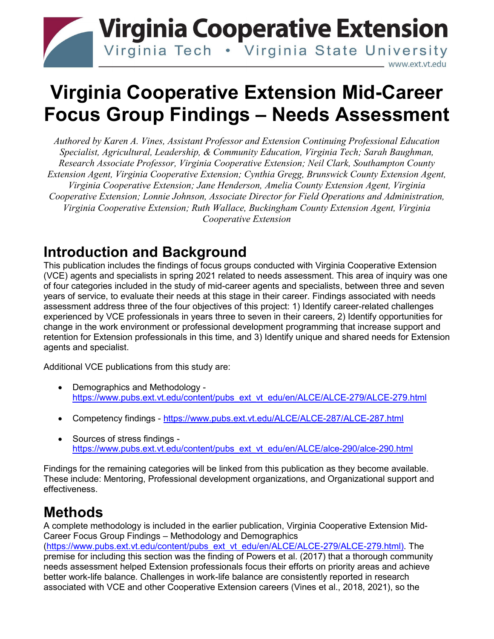

# **Virginia Cooperative Extension Mid-Career Focus Group Findings – Needs Assessment**

*Authored by Karen A. Vines, Assistant Professor and Extension Continuing Professional Education Specialist, Agricultural, Leadership, & Community Education, Virginia Tech; Sarah Baughman, Research Associate Professor, Virginia Cooperative Extension; Neil Clark, Southampton County Extension Agent, Virginia Cooperative Extension; Cynthia Gregg, Brunswick County Extension Agent, Virginia Cooperative Extension; Jane Henderson, Amelia County Extension Agent, Virginia Cooperative Extension; Lonnie Johnson, Associate Director for Field Operations and Administration, Virginia Cooperative Extension; Ruth Wallace, Buckingham County Extension Agent, Virginia Cooperative Extension*

## **Introduction and Background**

This publication includes the findings of focus groups conducted with Virginia Cooperative Extension (VCE) agents and specialists in spring 2021 related to needs assessment. This area of inquiry was one of four categories included in the study of mid-career agents and specialists, between three and seven years of service, to evaluate their needs at this stage in their career. Findings associated with needs assessment address three of the four objectives of this project: 1) Identify career-related challenges experienced by VCE professionals in years three to seven in their careers, 2) Identify opportunities for change in the work environment or professional development programming that increase support and retention for Extension professionals in this time, and 3) Identify unique and shared needs for Extension agents and specialist.

Additional VCE publications from this study are:

- Demographics and Methodology [https://www.pubs.ext.vt.edu/content/pubs\\_ext\\_vt\\_edu/en/ALCE/ALCE-279/ALCE-279.html](https://www.pubs.ext.vt.edu/content/pubs_ext_vt_edu/en/ALCE/ALCE-279/ALCE-279.html)
- Competency findings <https://www.pubs.ext.vt.edu/ALCE/ALCE-287/ALCE-287.html>
- Sources of stress findings [https://www.pubs.ext.vt.edu/content/pubs\\_ext\\_vt\\_edu/en/ALCE/alce-290/alce-290.html](https://www.pubs.ext.vt.edu/content/pubs_ext_vt_edu/en/ALCE/alce-290/alce-290.html)

Findings for the remaining categories will be linked from this publication as they become available. These include: Mentoring, Professional development organizations, and Organizational support and effectiveness.

# **Methods**

A complete methodology is included in the earlier publication, Virginia Cooperative Extension Mid-Career Focus Group Findings – Methodology and Demographics [\(https://www.pubs.ext.vt.edu/content/pubs\\_ext\\_vt\\_edu/en/ALCE/ALCE-279/ALCE-279.html\)](https://www.pubs.ext.vt.edu/content/pubs_ext_vt_edu/en/ALCE/ALCE-279/ALCE-279.html). The premise for including this section was the finding of Powers et al. (2017) that a thorough community needs assessment helped Extension professionals focus their efforts on priority areas and achieve better work-life balance. Challenges in work-life balance are consistently reported in research associated with VCE and other Cooperative Extension careers (Vines et al., 2018, 2021), so the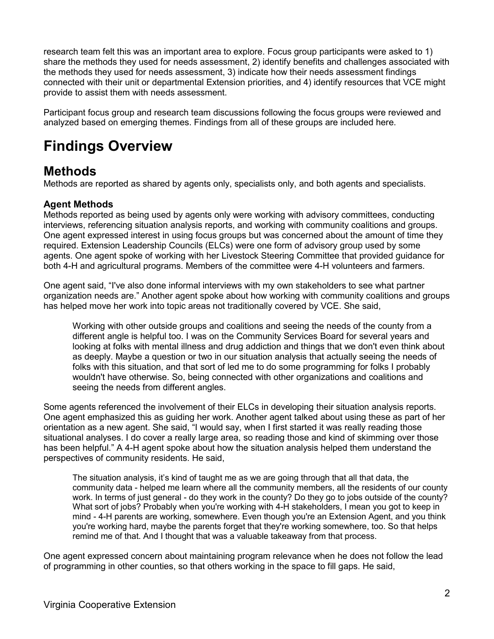research team felt this was an important area to explore. Focus group participants were asked to 1) share the methods they used for needs assessment, 2) identify benefits and challenges associated with the methods they used for needs assessment, 3) indicate how their needs assessment findings connected with their unit or departmental Extension priorities, and 4) identify resources that VCE might provide to assist them with needs assessment.

Participant focus group and research team discussions following the focus groups were reviewed and analyzed based on emerging themes. Findings from all of these groups are included here.

# **Findings Overview**

### **Methods**

Methods are reported as shared by agents only, specialists only, and both agents and specialists.

### **Agent Methods**

Methods reported as being used by agents only were working with advisory committees, conducting interviews, referencing situation analysis reports, and working with community coalitions and groups. One agent expressed interest in using focus groups but was concerned about the amount of time they required. Extension Leadership Councils (ELCs) were one form of advisory group used by some agents. One agent spoke of working with her Livestock Steering Committee that provided guidance for both 4-H and agricultural programs. Members of the committee were 4-H volunteers and farmers.

One agent said, "I've also done informal interviews with my own stakeholders to see what partner organization needs are." Another agent spoke about how working with community coalitions and groups has helped move her work into topic areas not traditionally covered by VCE. She said,

Working with other outside groups and coalitions and seeing the needs of the county from a different angle is helpful too. I was on the Community Services Board for several years and looking at folks with mental illness and drug addiction and things that we don't even think about as deeply. Maybe a question or two in our situation analysis that actually seeing the needs of folks with this situation, and that sort of led me to do some programming for folks I probably wouldn't have otherwise. So, being connected with other organizations and coalitions and seeing the needs from different angles.

Some agents referenced the involvement of their ELCs in developing their situation analysis reports. One agent emphasized this as guiding her work. Another agent talked about using these as part of her orientation as a new agent. She said, "I would say, when I first started it was really reading those situational analyses. I do cover a really large area, so reading those and kind of skimming over those has been helpful." A 4-H agent spoke about how the situation analysis helped them understand the perspectives of community residents. He said,

The situation analysis, it's kind of taught me as we are going through that all that data, the community data - helped me learn where all the community members, all the residents of our county work. In terms of just general - do they work in the county? Do they go to jobs outside of the county? What sort of jobs? Probably when you're working with 4-H stakeholders, I mean you got to keep in mind - 4-H parents are working, somewhere. Even though you're an Extension Agent, and you think you're working hard, maybe the parents forget that they're working somewhere, too. So that helps remind me of that. And I thought that was a valuable takeaway from that process.

One agent expressed concern about maintaining program relevance when he does not follow the lead of programming in other counties, so that others working in the space to fill gaps. He said,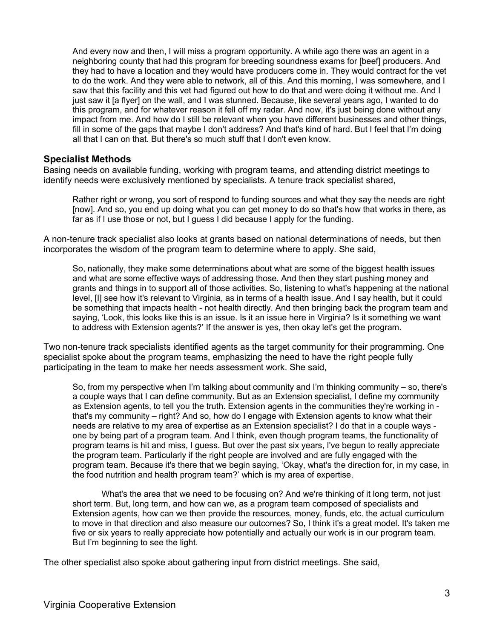And every now and then, I will miss a program opportunity. A while ago there was an agent in a neighboring county that had this program for breeding soundness exams for [beef] producers. And they had to have a location and they would have producers come in. They would contract for the vet to do the work. And they were able to network, all of this. And this morning, I was somewhere, and I saw that this facility and this vet had figured out how to do that and were doing it without me. And I just saw it [a flyer] on the wall, and I was stunned. Because, like several years ago, I wanted to do this program, and for whatever reason it fell off my radar. And now, it's just being done without any impact from me. And how do I still be relevant when you have different businesses and other things, fill in some of the gaps that maybe I don't address? And that's kind of hard. But I feel that I'm doing all that I can on that. But there's so much stuff that I don't even know.

#### **Specialist Methods**

Basing needs on available funding, working with program teams, and attending district meetings to identify needs were exclusively mentioned by specialists. A tenure track specialist shared,

Rather right or wrong, you sort of respond to funding sources and what they say the needs are right [now]. And so, you end up doing what you can get money to do so that's how that works in there, as far as if I use those or not, but I guess I did because I apply for the funding.

A non-tenure track specialist also looks at grants based on national determinations of needs, but then incorporates the wisdom of the program team to determine where to apply. She said,

So, nationally, they make some determinations about what are some of the biggest health issues and what are some effective ways of addressing those. And then they start pushing money and grants and things in to support all of those activities. So, listening to what's happening at the national level, [I] see how it's relevant to Virginia, as in terms of a health issue. And I say health, but it could be something that impacts health - not health directly. And then bringing back the program team and saying, 'Look, this looks like this is an issue. Is it an issue here in Virginia? Is it something we want to address with Extension agents?' If the answer is yes, then okay let's get the program.

Two non-tenure track specialists identified agents as the target community for their programming. One specialist spoke about the program teams, emphasizing the need to have the right people fully participating in the team to make her needs assessment work. She said,

So, from my perspective when I'm talking about community and I'm thinking community – so, there's a couple ways that I can define community. But as an Extension specialist, I define my community as Extension agents, to tell you the truth. Extension agents in the communities they're working in that's my community – right? And so, how do I engage with Extension agents to know what their needs are relative to my area of expertise as an Extension specialist? I do that in a couple ways one by being part of a program team. And I think, even though program teams, the functionality of program teams is hit and miss, I guess. But over the past six years, I've begun to really appreciate the program team. Particularly if the right people are involved and are fully engaged with the program team. Because it's there that we begin saying, 'Okay, what's the direction for, in my case, in the food nutrition and health program team?' which is my area of expertise.

What's the area that we need to be focusing on? And we're thinking of it long term, not just short term. But, long term, and how can we, as a program team composed of specialists and Extension agents, how can we then provide the resources, money, funds, etc. the actual curriculum to move in that direction and also measure our outcomes? So, I think it's a great model. It's taken me five or six years to really appreciate how potentially and actually our work is in our program team. But I'm beginning to see the light.

The other specialist also spoke about gathering input from district meetings. She said,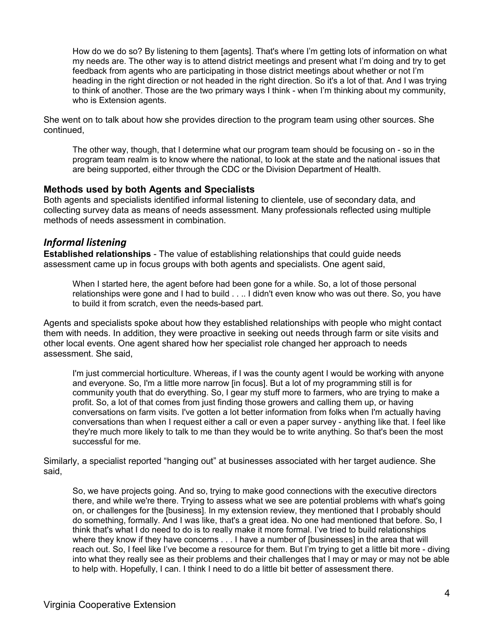How do we do so? By listening to them [agents]. That's where I'm getting lots of information on what my needs are. The other way is to attend district meetings and present what I'm doing and try to get feedback from agents who are participating in those district meetings about whether or not I'm heading in the right direction or not headed in the right direction. So it's a lot of that. And I was trying to think of another. Those are the two primary ways I think - when I'm thinking about my community, who is Extension agents.

She went on to talk about how she provides direction to the program team using other sources. She continued,

The other way, though, that I determine what our program team should be focusing on - so in the program team realm is to know where the national, to look at the state and the national issues that are being supported, either through the CDC or the Division Department of Health.

### **Methods used by both Agents and Specialists**

Both agents and specialists identified informal listening to clientele, use of secondary data, and collecting survey data as means of needs assessment. Many professionals reflected using multiple methods of needs assessment in combination.

### *Informal listening*

**Established relationships** - The value of establishing relationships that could guide needs assessment came up in focus groups with both agents and specialists. One agent said,

When I started here, the agent before had been gone for a while. So, a lot of those personal relationships were gone and I had to build . . .. I didn't even know who was out there. So, you have to build it from scratch, even the needs-based part.

Agents and specialists spoke about how they established relationships with people who might contact them with needs. In addition, they were proactive in seeking out needs through farm or site visits and other local events. One agent shared how her specialist role changed her approach to needs assessment. She said,

I'm just commercial horticulture. Whereas, if I was the county agent I would be working with anyone and everyone. So, I'm a little more narrow [in focus]. But a lot of my programming still is for community youth that do everything. So, I gear my stuff more to farmers, who are trying to make a profit. So, a lot of that comes from just finding those growers and calling them up, or having conversations on farm visits. I've gotten a lot better information from folks when I'm actually having conversations than when I request either a call or even a paper survey - anything like that. I feel like they're much more likely to talk to me than they would be to write anything. So that's been the most successful for me.

Similarly, a specialist reported "hanging out" at businesses associated with her target audience. She said,

So, we have projects going. And so, trying to make good connections with the executive directors there, and while we're there. Trying to assess what we see are potential problems with what's going on, or challenges for the [business]. In my extension review, they mentioned that I probably should do something, formally. And I was like, that's a great idea. No one had mentioned that before. So, I think that's what I do need to do is to really make it more formal. I've tried to build relationships where they know if they have concerns . . . I have a number of [businesses] in the area that will reach out. So, I feel like I've become a resource for them. But I'm trying to get a little bit more - diving into what they really see as their problems and their challenges that I may or may or may not be able to help with. Hopefully, I can. I think I need to do a little bit better of assessment there.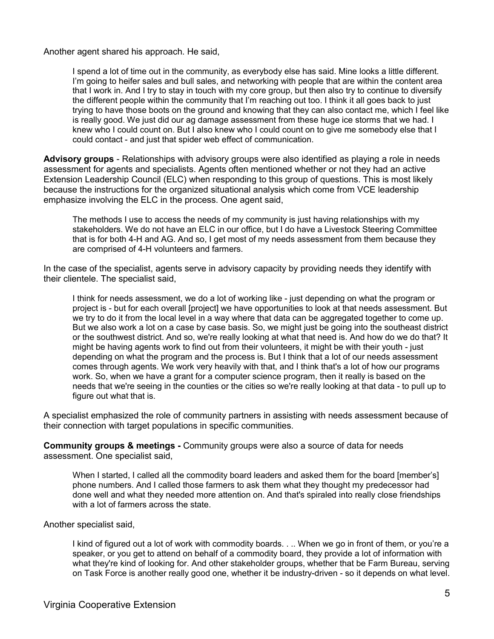Another agent shared his approach. He said,

I spend a lot of time out in the community, as everybody else has said. Mine looks a little different. I'm going to heifer sales and bull sales, and networking with people that are within the content area that I work in. And I try to stay in touch with my core group, but then also try to continue to diversify the different people within the community that I'm reaching out too. I think it all goes back to just trying to have those boots on the ground and knowing that they can also contact me, which I feel like is really good. We just did our ag damage assessment from these huge ice storms that we had. I knew who I could count on. But I also knew who I could count on to give me somebody else that I could contact - and just that spider web effect of communication.

**Advisory groups** - Relationships with advisory groups were also identified as playing a role in needs assessment for agents and specialists. Agents often mentioned whether or not they had an active Extension Leadership Council (ELC) when responding to this group of questions. This is most likely because the instructions for the organized situational analysis which come from VCE leadership emphasize involving the ELC in the process. One agent said,

The methods I use to access the needs of my community is just having relationships with my stakeholders. We do not have an ELC in our office, but I do have a Livestock Steering Committee that is for both 4-H and AG. And so, I get most of my needs assessment from them because they are comprised of 4-H volunteers and farmers.

In the case of the specialist, agents serve in advisory capacity by providing needs they identify with their clientele. The specialist said,

I think for needs assessment, we do a lot of working like - just depending on what the program or project is - but for each overall [project] we have opportunities to look at that needs assessment. But we try to do it from the local level in a way where that data can be aggregated together to come up. But we also work a lot on a case by case basis. So, we might just be going into the southeast district or the southwest district. And so, we're really looking at what that need is. And how do we do that? It might be having agents work to find out from their volunteers, it might be with their youth - just depending on what the program and the process is. But I think that a lot of our needs assessment comes through agents. We work very heavily with that, and I think that's a lot of how our programs work. So, when we have a grant for a computer science program, then it really is based on the needs that we're seeing in the counties or the cities so we're really looking at that data - to pull up to figure out what that is.

A specialist emphasized the role of community partners in assisting with needs assessment because of their connection with target populations in specific communities.

**Community groups & meetings -** Community groups were also a source of data for needs assessment. One specialist said,

When I started, I called all the commodity board leaders and asked them for the board [member's] phone numbers. And I called those farmers to ask them what they thought my predecessor had done well and what they needed more attention on. And that's spiraled into really close friendships with a lot of farmers across the state.

Another specialist said,

I kind of figured out a lot of work with commodity boards. . .. When we go in front of them, or you're a speaker, or you get to attend on behalf of a commodity board, they provide a lot of information with what they're kind of looking for. And other stakeholder groups, whether that be Farm Bureau, serving on Task Force is another really good one, whether it be industry-driven - so it depends on what level.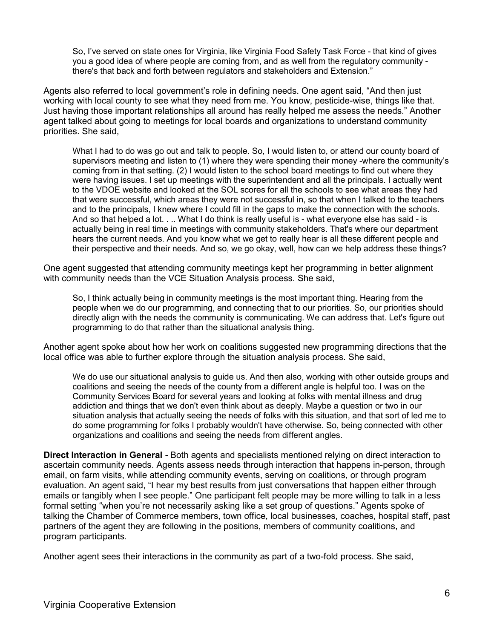So, I've served on state ones for Virginia, like Virginia Food Safety Task Force - that kind of gives you a good idea of where people are coming from, and as well from the regulatory community there's that back and forth between regulators and stakeholders and Extension."

Agents also referred to local government's role in defining needs. One agent said, "And then just working with local county to see what they need from me. You know, pesticide-wise, things like that. Just having those important relationships all around has really helped me assess the needs." Another agent talked about going to meetings for local boards and organizations to understand community priorities. She said,

What I had to do was go out and talk to people. So, I would listen to, or attend our county board of supervisors meeting and listen to (1) where they were spending their money -where the community's coming from in that setting. (2) I would listen to the school board meetings to find out where they were having issues. I set up meetings with the superintendent and all the principals. I actually went to the VDOE website and looked at the SOL scores for all the schools to see what areas they had that were successful, which areas they were not successful in, so that when I talked to the teachers and to the principals, I knew where I could fill in the gaps to make the connection with the schools. And so that helped a lot. . .. What I do think is really useful is - what everyone else has said - is actually being in real time in meetings with community stakeholders. That's where our department hears the current needs. And you know what we get to really hear is all these different people and their perspective and their needs. And so, we go okay, well, how can we help address these things?

One agent suggested that attending community meetings kept her programming in better alignment with community needs than the VCE Situation Analysis process. She said,

So, I think actually being in community meetings is the most important thing. Hearing from the people when we do our programming, and connecting that to our priorities. So, our priorities should directly align with the needs the community is communicating. We can address that. Let's figure out programming to do that rather than the situational analysis thing.

Another agent spoke about how her work on coalitions suggested new programming directions that the local office was able to further explore through the situation analysis process. She said,

We do use our situational analysis to guide us. And then also, working with other outside groups and coalitions and seeing the needs of the county from a different angle is helpful too. I was on the Community Services Board for several years and looking at folks with mental illness and drug addiction and things that we don't even think about as deeply. Maybe a question or two in our situation analysis that actually seeing the needs of folks with this situation, and that sort of led me to do some programming for folks I probably wouldn't have otherwise. So, being connected with other organizations and coalitions and seeing the needs from different angles.

**Direct Interaction in General -** Both agents and specialists mentioned relying on direct interaction to ascertain community needs. Agents assess needs through interaction that happens in-person, through email, on farm visits, while attending community events, serving on coalitions, or through program evaluation. An agent said, "I hear my best results from just conversations that happen either through emails or tangibly when I see people." One participant felt people may be more willing to talk in a less formal setting "when you're not necessarily asking like a set group of questions." Agents spoke of talking the Chamber of Commerce members, town office, local businesses, coaches, hospital staff, past partners of the agent they are following in the positions, members of community coalitions, and program participants.

Another agent sees their interactions in the community as part of a two-fold process. She said,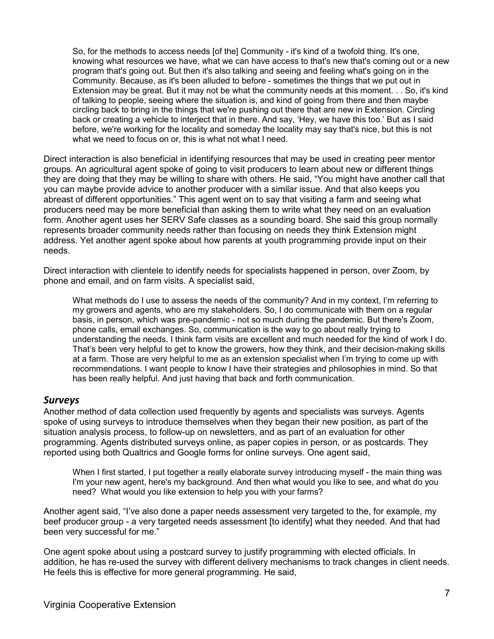So, for the methods to access needs [of the] Community - it's kind of a twofold thing. It's one, knowing what resources we have, what we can have access to that's new that's coming out or a new program that's going out. But then it's also talking and seeing and feeling what's going on in the Community. Because, as it's been alluded to before - sometimes the things that we put out in Extension may be great. But it may not be what the community needs at this moment. . . So, it's kind of talking to people, seeing where the situation is, and kind of going from there and then maybe circling back to bring in the things that we're pushing out there that are new in Extension. Circling back or creating a vehicle to interject that in there. And say, 'Hey, we have this too.' But as I said before, we're working for the locality and someday the locality may say that's nice, but this is not what we need to focus on or, this is what not what I need.

Direct interaction is also beneficial in identifying resources that may be used in creating peer mentor groups. An agricultural agent spoke of going to visit producers to learn about new or different things they are doing that they may be willing to share with others. He said, "You might have another call that you can maybe provide advice to another producer with a similar issue. And that also keeps you abreast of different opportunities." This agent went on to say that visiting a farm and seeing what producers need may be more beneficial than asking them to write what they need on an evaluation form. Another agent uses her SERV Safe classes as a sounding board. She said this group normally represents broader community needs rather than focusing on needs they think Extension might address. Yet another agent spoke about how parents at youth programming provide input on their needs.

Direct interaction with clientele to identify needs for specialists happened in person, over Zoom, by phone and email, and on farm visits. A specialist said,

What methods do I use to assess the needs of the community? And in my context, I'm referring to my growers and agents, who are my stakeholders. So, I do communicate with them on a regular basis, in person, which was pre-pandemic - not so much during the pandemic. But there's Zoom, phone calls, email exchanges. So, communication is the way to go about really trying to understanding the needs. I think farm visits are excellent and much needed for the kind of work I do. That's been very helpful to get to know the growers, how they think, and their decision-making skills at a farm. Those are very helpful to me as an extension specialist when I'm trying to come up with recommendations. I want people to know I have their strategies and philosophies in mind. So that has been really helpful. And just having that back and forth communication.

### *Surveys*

Another method of data collection used frequently by agents and specialists was surveys. Agents spoke of using surveys to introduce themselves when they began their new position, as part of the situation analysis process, to follow-up on newsletters, and as part of an evaluation for other programming. Agents distributed surveys online, as paper copies in person, or as postcards. They reported using both Qualtrics and Google forms for online surveys. One agent said,

When I first started, I put together a really elaborate survey introducing myself - the main thing was I'm your new agent, here's my background. And then what would you like to see, and what do you need? What would you like extension to help you with your farms?

Another agent said, "I've also done a paper needs assessment very targeted to the, for example, my beef producer group - a very targeted needs assessment [to identify] what they needed. And that had been very successful for me."

One agent spoke about using a postcard survey to justify programming with elected officials. In addition, he has re-used the survey with different delivery mechanisms to track changes in client needs. He feels this is effective for more general programming. He said,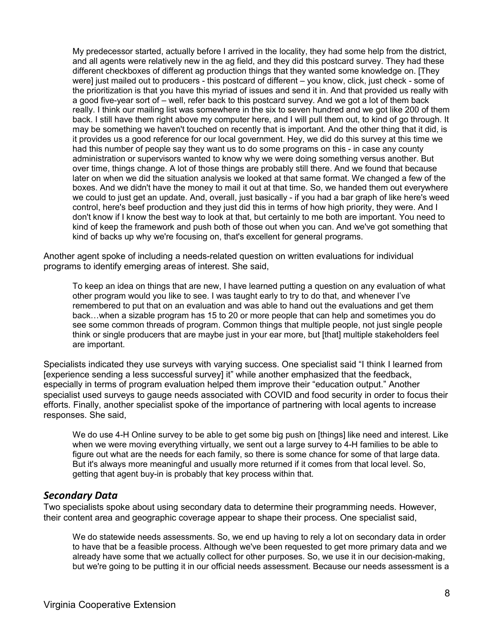My predecessor started, actually before I arrived in the locality, they had some help from the district, and all agents were relatively new in the ag field, and they did this postcard survey. They had these different checkboxes of different ag production things that they wanted some knowledge on. [They were] just mailed out to producers - this postcard of different – you know, click, just check - some of the prioritization is that you have this myriad of issues and send it in. And that provided us really with a good five-year sort of – well, refer back to this postcard survey. And we got a lot of them back really. I think our mailing list was somewhere in the six to seven hundred and we got like 200 of them back. I still have them right above my computer here, and I will pull them out, to kind of go through. It may be something we haven't touched on recently that is important. And the other thing that it did, is it provides us a good reference for our local government. Hey, we did do this survey at this time we had this number of people say they want us to do some programs on this - in case any county administration or supervisors wanted to know why we were doing something versus another. But over time, things change. A lot of those things are probably still there. And we found that because later on when we did the situation analysis we looked at that same format. We changed a few of the boxes. And we didn't have the money to mail it out at that time. So, we handed them out everywhere we could to just get an update. And, overall, just basically - if you had a bar graph of like here's weed control, here's beef production and they just did this in terms of how high priority, they were. And I don't know if I know the best way to look at that, but certainly to me both are important. You need to kind of keep the framework and push both of those out when you can. And we've got something that kind of backs up why we're focusing on, that's excellent for general programs.

Another agent spoke of including a needs-related question on written evaluations for individual programs to identify emerging areas of interest. She said,

To keep an idea on things that are new, I have learned putting a question on any evaluation of what other program would you like to see. I was taught early to try to do that, and whenever I've remembered to put that on an evaluation and was able to hand out the evaluations and get them back…when a sizable program has 15 to 20 or more people that can help and sometimes you do see some common threads of program. Common things that multiple people, not just single people think or single producers that are maybe just in your ear more, but [that] multiple stakeholders feel are important.

Specialists indicated they use surveys with varying success. One specialist said "I think I learned from [experience sending a less successful survey] it" while another emphasized that the feedback, especially in terms of program evaluation helped them improve their "education output." Another specialist used surveys to gauge needs associated with COVID and food security in order to focus their efforts. Finally, another specialist spoke of the importance of partnering with local agents to increase responses. She said,

We do use 4-H Online survey to be able to get some big push on [things] like need and interest. Like when we were moving everything virtually, we sent out a large survey to 4-H families to be able to figure out what are the needs for each family, so there is some chance for some of that large data. But it's always more meaningful and usually more returned if it comes from that local level. So, getting that agent buy-in is probably that key process within that.

### *Secondary Data*

Two specialists spoke about using secondary data to determine their programming needs. However, their content area and geographic coverage appear to shape their process. One specialist said,

We do statewide needs assessments. So, we end up having to rely a lot on secondary data in order to have that be a feasible process. Although we've been requested to get more primary data and we already have some that we actually collect for other purposes. So, we use it in our decision-making, but we're going to be putting it in our official needs assessment. Because our needs assessment is a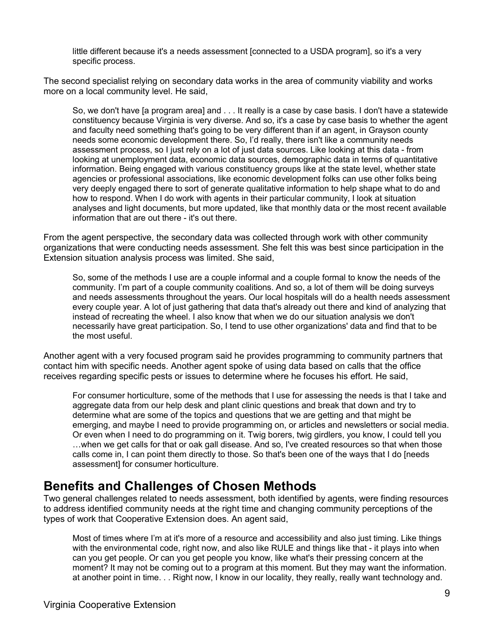little different because it's a needs assessment [connected to a USDA program], so it's a very specific process.

The second specialist relying on secondary data works in the area of community viability and works more on a local community level. He said,

So, we don't have [a program area] and . . . It really is a case by case basis. I don't have a statewide constituency because Virginia is very diverse. And so, it's a case by case basis to whether the agent and faculty need something that's going to be very different than if an agent, in Grayson county needs some economic development there. So, I'd really, there isn't like a community needs assessment process, so I just rely on a lot of just data sources. Like looking at this data - from looking at unemployment data, economic data sources, demographic data in terms of quantitative information. Being engaged with various constituency groups like at the state level, whether state agencies or professional associations, like economic development folks can use other folks being very deeply engaged there to sort of generate qualitative information to help shape what to do and how to respond. When I do work with agents in their particular community, I look at situation analyses and light documents, but more updated, like that monthly data or the most recent available information that are out there - it's out there.

From the agent perspective, the secondary data was collected through work with other community organizations that were conducting needs assessment. She felt this was best since participation in the Extension situation analysis process was limited. She said,

So, some of the methods I use are a couple informal and a couple formal to know the needs of the community. I'm part of a couple community coalitions. And so, a lot of them will be doing surveys and needs assessments throughout the years. Our local hospitals will do a health needs assessment every couple year. A lot of just gathering that data that's already out there and kind of analyzing that instead of recreating the wheel. I also know that when we do our situation analysis we don't necessarily have great participation. So, I tend to use other organizations' data and find that to be the most useful.

Another agent with a very focused program said he provides programming to community partners that contact him with specific needs. Another agent spoke of using data based on calls that the office receives regarding specific pests or issues to determine where he focuses his effort. He said,

For consumer horticulture, some of the methods that I use for assessing the needs is that I take and aggregate data from our help desk and plant clinic questions and break that down and try to determine what are some of the topics and questions that we are getting and that might be emerging, and maybe I need to provide programming on, or articles and newsletters or social media. Or even when I need to do programming on it. Twig borers, twig girdlers, you know, I could tell you …when we get calls for that or oak gall disease. And so, I've created resources so that when those calls come in, I can point them directly to those. So that's been one of the ways that I do [needs assessment] for consumer horticulture.

### **Benefits and Challenges of Chosen Methods**

Two general challenges related to needs assessment, both identified by agents, were finding resources to address identified community needs at the right time and changing community perceptions of the types of work that Cooperative Extension does. An agent said,

Most of times where I'm at it's more of a resource and accessibility and also just timing. Like things with the environmental code, right now, and also like RULE and things like that - it plays into when can you get people. Or can you get people you know, like what's their pressing concern at the moment? It may not be coming out to a program at this moment. But they may want the information. at another point in time. . . Right now, I know in our locality, they really, really want technology and.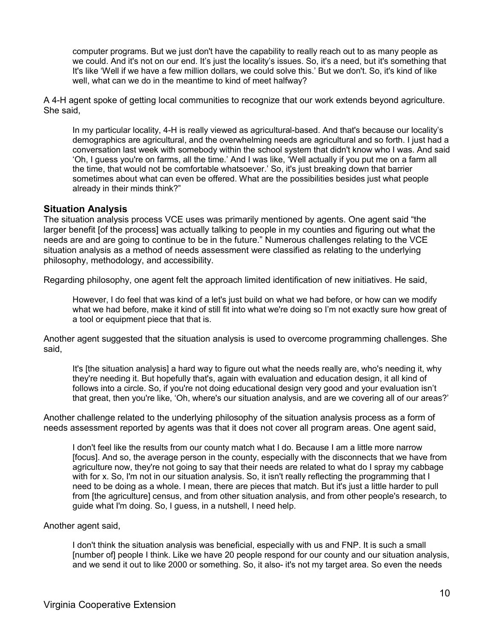computer programs. But we just don't have the capability to really reach out to as many people as we could. And it's not on our end. It's just the locality's issues. So, it's a need, but it's something that It's like 'Well if we have a few million dollars, we could solve this.' But we don't. So, it's kind of like well, what can we do in the meantime to kind of meet halfway?

A 4-H agent spoke of getting local communities to recognize that our work extends beyond agriculture. She said,

In my particular locality, 4-H is really viewed as agricultural-based. And that's because our locality's demographics are agricultural, and the overwhelming needs are agricultural and so forth. I just had a conversation last week with somebody within the school system that didn't know who I was. And said 'Oh, I guess you're on farms, all the time.' And I was like, 'Well actually if you put me on a farm all the time, that would not be comfortable whatsoever.' So, it's just breaking down that barrier sometimes about what can even be offered. What are the possibilities besides just what people already in their minds think?"

### **Situation Analysis**

The situation analysis process VCE uses was primarily mentioned by agents. One agent said "the larger benefit [of the process] was actually talking to people in my counties and figuring out what the needs are and are going to continue to be in the future." Numerous challenges relating to the VCE situation analysis as a method of needs assessment were classified as relating to the underlying philosophy, methodology, and accessibility.

Regarding philosophy, one agent felt the approach limited identification of new initiatives. He said,

However, I do feel that was kind of a let's just build on what we had before, or how can we modify what we had before, make it kind of still fit into what we're doing so I'm not exactly sure how great of a tool or equipment piece that that is.

Another agent suggested that the situation analysis is used to overcome programming challenges. She said,

It's [the situation analysis] a hard way to figure out what the needs really are, who's needing it, why they're needing it. But hopefully that's, again with evaluation and education design, it all kind of follows into a circle. So, if you're not doing educational design very good and your evaluation isn't that great, then you're like, 'Oh, where's our situation analysis, and are we covering all of our areas?'

Another challenge related to the underlying philosophy of the situation analysis process as a form of needs assessment reported by agents was that it does not cover all program areas. One agent said,

I don't feel like the results from our county match what I do. Because I am a little more narrow [focus]. And so, the average person in the county, especially with the disconnects that we have from agriculture now, they're not going to say that their needs are related to what do I spray my cabbage with for x. So, I'm not in our situation analysis. So, it isn't really reflecting the programming that I need to be doing as a whole. I mean, there are pieces that match. But it's just a little harder to pull from [the agriculture] census, and from other situation analysis, and from other people's research, to guide what I'm doing. So, I guess, in a nutshell, I need help.

#### Another agent said,

I don't think the situation analysis was beneficial, especially with us and FNP. It is such a small [number of] people I think. Like we have 20 people respond for our county and our situation analysis, and we send it out to like 2000 or something. So, it also- it's not my target area. So even the needs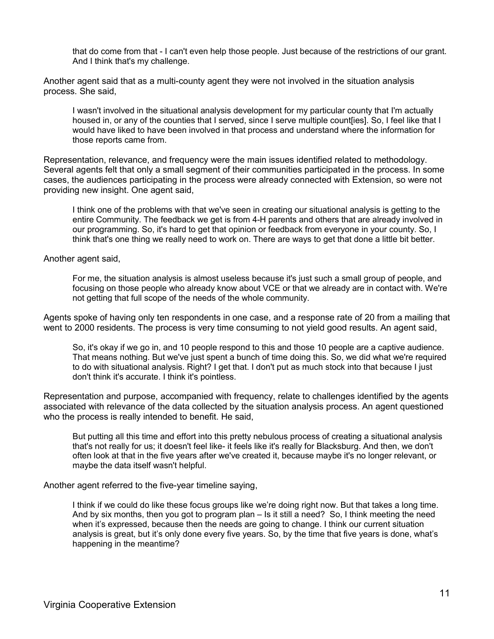that do come from that - I can't even help those people. Just because of the restrictions of our grant. And I think that's my challenge.

Another agent said that as a multi-county agent they were not involved in the situation analysis process. She said,

I wasn't involved in the situational analysis development for my particular county that I'm actually housed in, or any of the counties that I served, since I serve multiple count ies]. So, I feel like that I would have liked to have been involved in that process and understand where the information for those reports came from.

Representation, relevance, and frequency were the main issues identified related to methodology. Several agents felt that only a small segment of their communities participated in the process. In some cases, the audiences participating in the process were already connected with Extension, so were not providing new insight. One agent said,

I think one of the problems with that we've seen in creating our situational analysis is getting to the entire Community. The feedback we get is from 4-H parents and others that are already involved in our programming. So, it's hard to get that opinion or feedback from everyone in your county. So, I think that's one thing we really need to work on. There are ways to get that done a little bit better.

Another agent said,

For me, the situation analysis is almost useless because it's just such a small group of people, and focusing on those people who already know about VCE or that we already are in contact with. We're not getting that full scope of the needs of the whole community.

Agents spoke of having only ten respondents in one case, and a response rate of 20 from a mailing that went to 2000 residents. The process is very time consuming to not yield good results. An agent said,

So, it's okay if we go in, and 10 people respond to this and those 10 people are a captive audience. That means nothing. But we've just spent a bunch of time doing this. So, we did what we're required to do with situational analysis. Right? I get that. I don't put as much stock into that because I just don't think it's accurate. I think it's pointless.

Representation and purpose, accompanied with frequency, relate to challenges identified by the agents associated with relevance of the data collected by the situation analysis process. An agent questioned who the process is really intended to benefit. He said,

But putting all this time and effort into this pretty nebulous process of creating a situational analysis that's not really for us; it doesn't feel like- it feels like it's really for Blacksburg. And then, we don't often look at that in the five years after we've created it, because maybe it's no longer relevant, or maybe the data itself wasn't helpful.

Another agent referred to the five-year timeline saying,

I think if we could do like these focus groups like we're doing right now. But that takes a long time. And by six months, then you got to program plan – Is it still a need? So, I think meeting the need when it's expressed, because then the needs are going to change. I think our current situation analysis is great, but it's only done every five years. So, by the time that five years is done, what's happening in the meantime?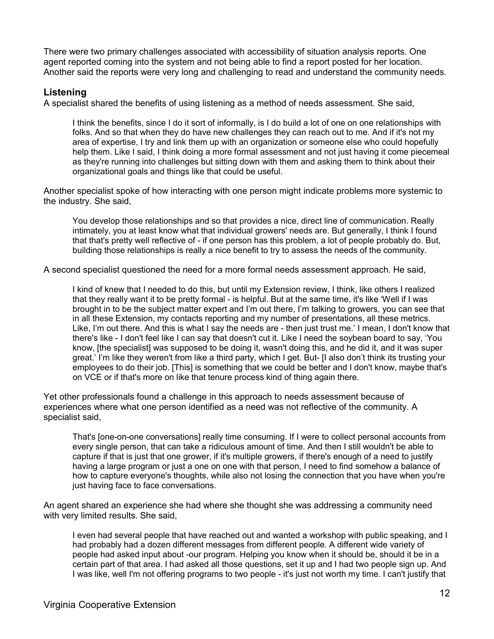There were two primary challenges associated with accessibility of situation analysis reports. One agent reported coming into the system and not being able to find a report posted for her location. Another said the reports were very long and challenging to read and understand the community needs.

### **Listening**

A specialist shared the benefits of using listening as a method of needs assessment. She said,

I think the benefits, since I do it sort of informally, is I do build a lot of one on one relationships with folks. And so that when they do have new challenges they can reach out to me. And if it's not my area of expertise, I try and link them up with an organization or someone else who could hopefully help them. Like I said, I think doing a more formal assessment and not just having it come piecemeal as they're running into challenges but sitting down with them and asking them to think about their organizational goals and things like that could be useful.

Another specialist spoke of how interacting with one person might indicate problems more systemic to the industry. She said,

You develop those relationships and so that provides a nice, direct line of communication. Really intimately, you at least know what that individual growers' needs are. But generally, I think I found that that's pretty well reflective of - if one person has this problem, a lot of people probably do. But, building those relationships is really a nice benefit to try to assess the needs of the community.

A second specialist questioned the need for a more formal needs assessment approach. He said,

I kind of knew that I needed to do this, but until my Extension review, I think, like others I realized that they really want it to be pretty formal - is helpful. But at the same time, it's like 'Well if I was brought in to be the subject matter expert and I'm out there, I'm talking to growers, you can see that in all these Extension, my contacts reporting and my number of presentations, all these metrics. Like, I'm out there. And this is what I say the needs are - then just trust me.' I mean, I don't know that there's like - I don't feel like I can say that doesn't cut it. Like I need the soybean board to say, 'You know, [the specialist] was supposed to be doing it, wasn't doing this, and he did it, and it was super great.' I'm like they weren't from like a third party, which I get. But- [I also don't think its trusting your employees to do their job. [This] is something that we could be better and I don't know, maybe that's on VCE or if that's more on like that tenure process kind of thing again there.

Yet other professionals found a challenge in this approach to needs assessment because of experiences where what one person identified as a need was not reflective of the community. A specialist said,

That's [one-on-one conversations] really time consuming. If I were to collect personal accounts from every single person, that can take a ridiculous amount of time. And then I still wouldn't be able to capture if that is just that one grower, if it's multiple growers, if there's enough of a need to justify having a large program or just a one on one with that person, I need to find somehow a balance of how to capture everyone's thoughts, while also not losing the connection that you have when you're just having face to face conversations.

An agent shared an experience she had where she thought she was addressing a community need with very limited results. She said,

I even had several people that have reached out and wanted a workshop with public speaking, and I had probably had a dozen different messages from different people. A different wide variety of people had asked input about -our program. Helping you know when it should be, should it be in a certain part of that area. I had asked all those questions, set it up and I had two people sign up. And I was like, well I'm not offering programs to two people - it's just not worth my time. I can't justify that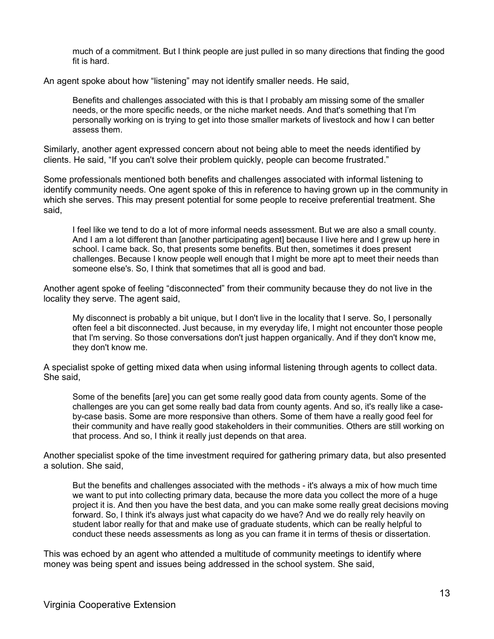much of a commitment. But I think people are just pulled in so many directions that finding the good fit is hard.

An agent spoke about how "listening" may not identify smaller needs. He said,

Benefits and challenges associated with this is that I probably am missing some of the smaller needs, or the more specific needs, or the niche market needs. And that's something that I'm personally working on is trying to get into those smaller markets of livestock and how I can better assess them.

Similarly, another agent expressed concern about not being able to meet the needs identified by clients. He said, "If you can't solve their problem quickly, people can become frustrated."

Some professionals mentioned both benefits and challenges associated with informal listening to identify community needs. One agent spoke of this in reference to having grown up in the community in which she serves. This may present potential for some people to receive preferential treatment. She said,

I feel like we tend to do a lot of more informal needs assessment. But we are also a small county. And I am a lot different than [another participating agent] because I live here and I grew up here in school. I came back. So, that presents some benefits. But then, sometimes it does present challenges. Because I know people well enough that I might be more apt to meet their needs than someone else's. So, I think that sometimes that all is good and bad.

Another agent spoke of feeling "disconnected" from their community because they do not live in the locality they serve. The agent said,

My disconnect is probably a bit unique, but I don't live in the locality that I serve. So, I personally often feel a bit disconnected. Just because, in my everyday life, I might not encounter those people that I'm serving. So those conversations don't just happen organically. And if they don't know me, they don't know me.

A specialist spoke of getting mixed data when using informal listening through agents to collect data. She said,

Some of the benefits [are] you can get some really good data from county agents. Some of the challenges are you can get some really bad data from county agents. And so, it's really like a caseby-case basis. Some are more responsive than others. Some of them have a really good feel for their community and have really good stakeholders in their communities. Others are still working on that process. And so, I think it really just depends on that area.

Another specialist spoke of the time investment required for gathering primary data, but also presented a solution. She said,

But the benefits and challenges associated with the methods - it's always a mix of how much time we want to put into collecting primary data, because the more data you collect the more of a huge project it is. And then you have the best data, and you can make some really great decisions moving forward. So, I think it's always just what capacity do we have? And we do really rely heavily on student labor really for that and make use of graduate students, which can be really helpful to conduct these needs assessments as long as you can frame it in terms of thesis or dissertation.

This was echoed by an agent who attended a multitude of community meetings to identify where money was being spent and issues being addressed in the school system. She said,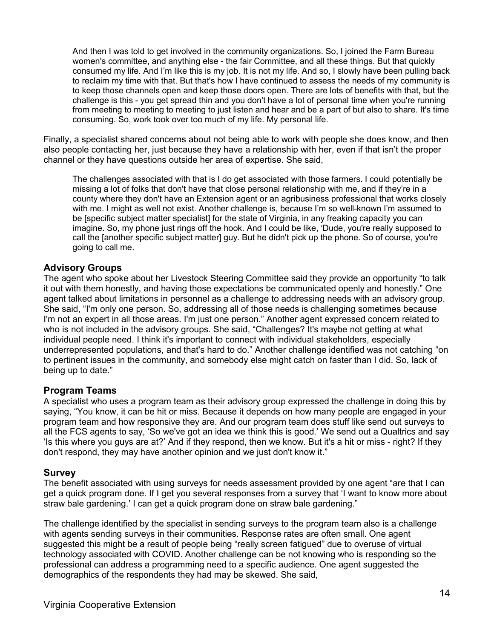And then I was told to get involved in the community organizations. So, I joined the Farm Bureau women's committee, and anything else - the fair Committee, and all these things. But that quickly consumed my life. And I'm like this is my job. It is not my life. And so, I slowly have been pulling back to reclaim my time with that. But that's how I have continued to assess the needs of my community is to keep those channels open and keep those doors open. There are lots of benefits with that, but the challenge is this - you get spread thin and you don't have a lot of personal time when you're running from meeting to meeting to meeting to just listen and hear and be a part of but also to share. It's time consuming. So, work took over too much of my life. My personal life.

Finally, a specialist shared concerns about not being able to work with people she does know, and then also people contacting her, just because they have a relationship with her, even if that isn't the proper channel or they have questions outside her area of expertise. She said,

The challenges associated with that is I do get associated with those farmers. I could potentially be missing a lot of folks that don't have that close personal relationship with me, and if they're in a county where they don't have an Extension agent or an agribusiness professional that works closely with me. I might as well not exist. Another challenge is, because I'm so well-known I'm assumed to be [specific subject matter specialist] for the state of Virginia, in any freaking capacity you can imagine. So, my phone just rings off the hook. And I could be like, 'Dude, you're really supposed to call the [another specific subject matter] guy. But he didn't pick up the phone. So of course, you're going to call me.

### **Advisory Groups**

The agent who spoke about her Livestock Steering Committee said they provide an opportunity "to talk it out with them honestly, and having those expectations be communicated openly and honestly." One agent talked about limitations in personnel as a challenge to addressing needs with an advisory group. She said, "I'm only one person. So, addressing all of those needs is challenging sometimes because I'm not an expert in all those areas. I'm just one person." Another agent expressed concern related to who is not included in the advisory groups. She said, "Challenges? It's maybe not getting at what individual people need. I think it's important to connect with individual stakeholders, especially underrepresented populations, and that's hard to do." Another challenge identified was not catching "on to pertinent issues in the community, and somebody else might catch on faster than I did. So, lack of being up to date."

### **Program Teams**

A specialist who uses a program team as their advisory group expressed the challenge in doing this by saying, "You know, it can be hit or miss. Because it depends on how many people are engaged in your program team and how responsive they are. And our program team does stuff like send out surveys to all the FCS agents to say, 'So we've got an idea we think this is good.' We send out a Qualtrics and say 'Is this where you guys are at?' And if they respond, then we know. But it's a hit or miss - right? If they don't respond, they may have another opinion and we just don't know it."

### **Survey**

The benefit associated with using surveys for needs assessment provided by one agent "are that I can get a quick program done. If I get you several responses from a survey that 'I want to know more about straw bale gardening.' I can get a quick program done on straw bale gardening."

The challenge identified by the specialist in sending surveys to the program team also is a challenge with agents sending surveys in their communities. Response rates are often small. One agent suggested this might be a result of people being "really screen fatigued" due to overuse of virtual technology associated with COVID. Another challenge can be not knowing who is responding so the professional can address a programming need to a specific audience. One agent suggested the demographics of the respondents they had may be skewed. She said,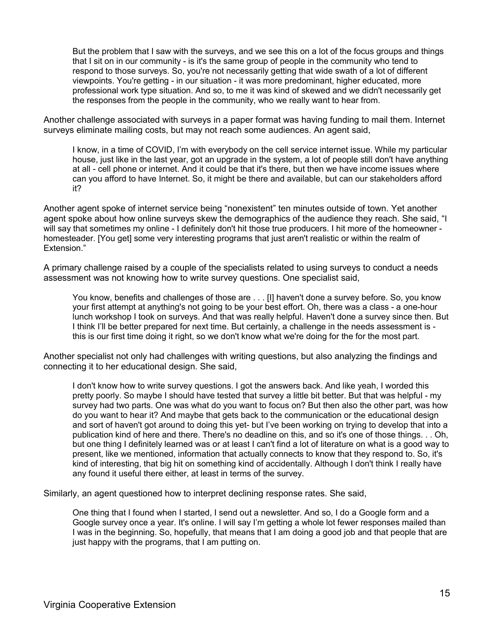But the problem that I saw with the surveys, and we see this on a lot of the focus groups and things that I sit on in our community - is it's the same group of people in the community who tend to respond to those surveys. So, you're not necessarily getting that wide swath of a lot of different viewpoints. You're getting - in our situation - it was more predominant, higher educated, more professional work type situation. And so, to me it was kind of skewed and we didn't necessarily get the responses from the people in the community, who we really want to hear from.

Another challenge associated with surveys in a paper format was having funding to mail them. Internet surveys eliminate mailing costs, but may not reach some audiences. An agent said,

I know, in a time of COVID, I'm with everybody on the cell service internet issue. While my particular house, just like in the last year, got an upgrade in the system, a lot of people still don't have anything at all - cell phone or internet. And it could be that it's there, but then we have income issues where can you afford to have Internet. So, it might be there and available, but can our stakeholders afford it?

Another agent spoke of internet service being "nonexistent" ten minutes outside of town. Yet another agent spoke about how online surveys skew the demographics of the audience they reach. She said, "I will say that sometimes my online - I definitely don't hit those true producers. I hit more of the homeowner homesteader. [You get] some very interesting programs that just aren't realistic or within the realm of Extension."

A primary challenge raised by a couple of the specialists related to using surveys to conduct a needs assessment was not knowing how to write survey questions. One specialist said,

You know, benefits and challenges of those are . . . [I] haven't done a survey before. So, you know your first attempt at anything's not going to be your best effort. Oh, there was a class - a one-hour lunch workshop I took on surveys. And that was really helpful. Haven't done a survey since then. But I think I'll be better prepared for next time. But certainly, a challenge in the needs assessment is this is our first time doing it right, so we don't know what we're doing for the for the most part.

Another specialist not only had challenges with writing questions, but also analyzing the findings and connecting it to her educational design. She said,

I don't know how to write survey questions. I got the answers back. And like yeah, I worded this pretty poorly. So maybe I should have tested that survey a little bit better. But that was helpful - my survey had two parts. One was what do you want to focus on? But then also the other part, was how do you want to hear it? And maybe that gets back to the communication or the educational design and sort of haven't got around to doing this yet- but I've been working on trying to develop that into a publication kind of here and there. There's no deadline on this, and so it's one of those things. . . Oh, but one thing I definitely learned was or at least I can't find a lot of literature on what is a good way to present, like we mentioned, information that actually connects to know that they respond to. So, it's kind of interesting, that big hit on something kind of accidentally. Although I don't think I really have any found it useful there either, at least in terms of the survey.

Similarly, an agent questioned how to interpret declining response rates. She said,

One thing that I found when I started, I send out a newsletter. And so, I do a Google form and a Google survey once a year. It's online. I will say I'm getting a whole lot fewer responses mailed than I was in the beginning. So, hopefully, that means that I am doing a good job and that people that are just happy with the programs, that I am putting on.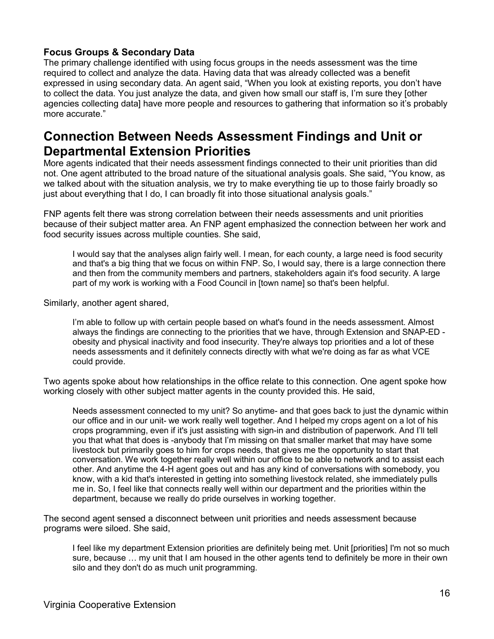### **Focus Groups & Secondary Data**

The primary challenge identified with using focus groups in the needs assessment was the time required to collect and analyze the data. Having data that was already collected was a benefit expressed in using secondary data. An agent said, "When you look at existing reports, you don't have to collect the data. You just analyze the data, and given how small our staff is, I'm sure they [other agencies collecting data] have more people and resources to gathering that information so it's probably more accurate."

### **Connection Between Needs Assessment Findings and Unit or Departmental Extension Priorities**

More agents indicated that their needs assessment findings connected to their unit priorities than did not. One agent attributed to the broad nature of the situational analysis goals. She said, "You know, as we talked about with the situation analysis, we try to make everything tie up to those fairly broadly so just about everything that I do, I can broadly fit into those situational analysis goals."

FNP agents felt there was strong correlation between their needs assessments and unit priorities because of their subject matter area. An FNP agent emphasized the connection between her work and food security issues across multiple counties. She said,

I would say that the analyses align fairly well. I mean, for each county, a large need is food security and that's a big thing that we focus on within FNP. So, I would say, there is a large connection there and then from the community members and partners, stakeholders again it's food security. A large part of my work is working with a Food Council in [town name] so that's been helpful.

Similarly, another agent shared,

I'm able to follow up with certain people based on what's found in the needs assessment. Almost always the findings are connecting to the priorities that we have, through Extension and SNAP-ED obesity and physical inactivity and food insecurity. They're always top priorities and a lot of these needs assessments and it definitely connects directly with what we're doing as far as what VCE could provide.

Two agents spoke about how relationships in the office relate to this connection. One agent spoke how working closely with other subject matter agents in the county provided this. He said,

Needs assessment connected to my unit? So anytime- and that goes back to just the dynamic within our office and in our unit- we work really well together. And I helped my crops agent on a lot of his crops programming, even if it's just assisting with sign-in and distribution of paperwork. And I'll tell you that what that does is -anybody that I'm missing on that smaller market that may have some livestock but primarily goes to him for crops needs, that gives me the opportunity to start that conversation. We work together really well within our office to be able to network and to assist each other. And anytime the 4-H agent goes out and has any kind of conversations with somebody, you know, with a kid that's interested in getting into something livestock related, she immediately pulls me in. So, I feel like that connects really well within our department and the priorities within the department, because we really do pride ourselves in working together.

The second agent sensed a disconnect between unit priorities and needs assessment because programs were siloed. She said,

I feel like my department Extension priorities are definitely being met. Unit [priorities] I'm not so much sure, because … my unit that I am housed in the other agents tend to definitely be more in their own silo and they don't do as much unit programming.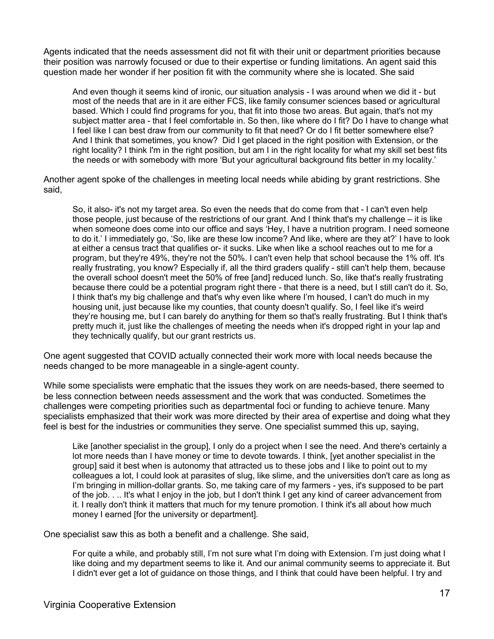Agents indicated that the needs assessment did not fit with their unit or department priorities because their position was narrowly focused or due to their expertise or funding limitations. An agent said this question made her wonder if her position fit with the community where she is located. She said

And even though it seems kind of ironic, our situation analysis - I was around when we did it - but most of the needs that are in it are either FCS, like family consumer sciences based or agricultural based. Which I could find programs for you, that fit into those two areas. But again, that's not my subject matter area - that I feel comfortable in. So then, like where do I fit? Do I have to change what I feel like I can best draw from our community to fit that need? Or do I fit better somewhere else? And I think that sometimes, you know? Did I get placed in the right position with Extension, or the right locality? I think I'm in the right position, but am I in the right locality for what my skill set best fits the needs or with somebody with more 'But your agricultural background fits better in my locality.'

Another agent spoke of the challenges in meeting local needs while abiding by grant restrictions. She said,

So, it also- it's not my target area. So even the needs that do come from that - I can't even help those people, just because of the restrictions of our grant. And I think that's my challenge – it is like when someone does come into our office and says 'Hey, I have a nutrition program. I need someone to do it.' I immediately go, 'So, like are these low income? And like, where are they at?' I have to look at either a census tract that qualifies or- it sucks. Like when like a school reaches out to me for a program, but they're 49%, they're not the 50%. I can't even help that school because the 1% off. It's really frustrating, you know? Especially if, all the third graders qualify - still can't help them, because the overall school doesn't meet the 50% of free [and] reduced lunch. So, like that's really frustrating because there could be a potential program right there - that there is a need, but I still can't do it. So, I think that's my big challenge and that's why even like where I'm housed, I can't do much in my housing unit, just because like my counties, that county doesn't qualify. So, I feel like it's weird they're housing me, but I can barely do anything for them so that's really frustrating. But I think that's pretty much it, just like the challenges of meeting the needs when it's dropped right in your lap and they technically qualify, but our grant restricts us.

One agent suggested that COVID actually connected their work more with local needs because the needs changed to be more manageable in a single-agent county.

While some specialists were emphatic that the issues they work on are needs-based, there seemed to be less connection between needs assessment and the work that was conducted. Sometimes the challenges were competing priorities such as departmental foci or funding to achieve tenure. Many specialists emphasized that their work was more directed by their area of expertise and doing what they feel is best for the industries or communities they serve. One specialist summed this up, saying,

Like [another specialist in the group], I only do a project when I see the need. And there's certainly a lot more needs than I have money or time to devote towards. I think, [yet another specialist in the group] said it best when is autonomy that attracted us to these jobs and I like to point out to my colleagues a lot, I could look at parasites of slug, like slime, and the universities don't care as long as I'm bringing in million-dollar grants. So, me taking care of my farmers - yes, it's supposed to be part of the job. . .. It's what I enjoy in the job, but I don't think I get any kind of career advancement from it. I really don't think it matters that much for my tenure promotion. I think it's all about how much money I earned [for the university or department].

One specialist saw this as both a benefit and a challenge. She said,

For quite a while, and probably still, I'm not sure what I'm doing with Extension. I'm just doing what I like doing and my department seems to like it. And our animal community seems to appreciate it. But I didn't ever get a lot of guidance on those things, and I think that could have been helpful. I try and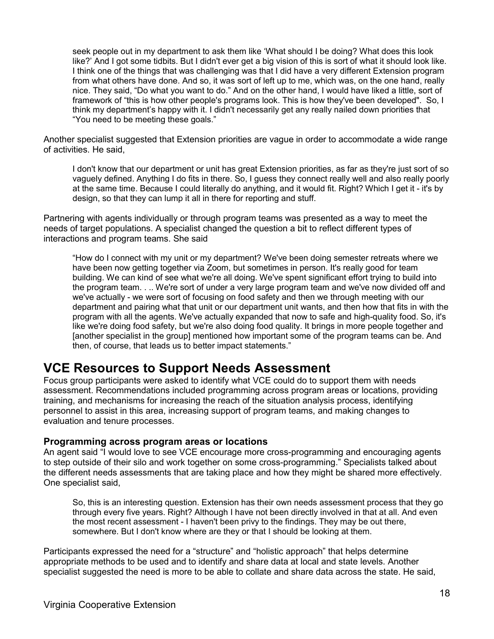seek people out in my department to ask them like 'What should I be doing? What does this look like?' And I got some tidbits. But I didn't ever get a big vision of this is sort of what it should look like. I think one of the things that was challenging was that I did have a very different Extension program from what others have done. And so, it was sort of left up to me, which was, on the one hand, really nice. They said, "Do what you want to do." And on the other hand, I would have liked a little, sort of framework of "this is how other people's programs look. This is how they've been developed". So, I think my department's happy with it. I didn't necessarily get any really nailed down priorities that "You need to be meeting these goals."

Another specialist suggested that Extension priorities are vague in order to accommodate a wide range of activities. He said,

I don't know that our department or unit has great Extension priorities, as far as they're just sort of so vaguely defined. Anything I do fits in there. So, I guess they connect really well and also really poorly at the same time. Because I could literally do anything, and it would fit. Right? Which I get it - it's by design, so that they can lump it all in there for reporting and stuff.

Partnering with agents individually or through program teams was presented as a way to meet the needs of target populations. A specialist changed the question a bit to reflect different types of interactions and program teams. She said

"How do I connect with my unit or my department? We've been doing semester retreats where we have been now getting together via Zoom, but sometimes in person. It's really good for team building. We can kind of see what we're all doing. We've spent significant effort trying to build into the program team. . .. We're sort of under a very large program team and we've now divided off and we've actually - we were sort of focusing on food safety and then we through meeting with our department and pairing what that unit or our department unit wants, and then how that fits in with the program with all the agents. We've actually expanded that now to safe and high-quality food. So, it's like we're doing food safety, but we're also doing food quality. It brings in more people together and [another specialist in the group] mentioned how important some of the program teams can be. And then, of course, that leads us to better impact statements."

### **VCE Resources to Support Needs Assessment**

Focus group participants were asked to identify what VCE could do to support them with needs assessment. Recommendations included programming across program areas or locations, providing training, and mechanisms for increasing the reach of the situation analysis process, identifying personnel to assist in this area, increasing support of program teams, and making changes to evaluation and tenure processes.

### **Programming across program areas or locations**

An agent said "I would love to see VCE encourage more cross-programming and encouraging agents to step outside of their silo and work together on some cross-programming." Specialists talked about the different needs assessments that are taking place and how they might be shared more effectively. One specialist said,

So, this is an interesting question. Extension has their own needs assessment process that they go through every five years. Right? Although I have not been directly involved in that at all. And even the most recent assessment - I haven't been privy to the findings. They may be out there, somewhere. But I don't know where are they or that I should be looking at them.

Participants expressed the need for a "structure" and "holistic approach" that helps determine appropriate methods to be used and to identify and share data at local and state levels. Another specialist suggested the need is more to be able to collate and share data across the state. He said,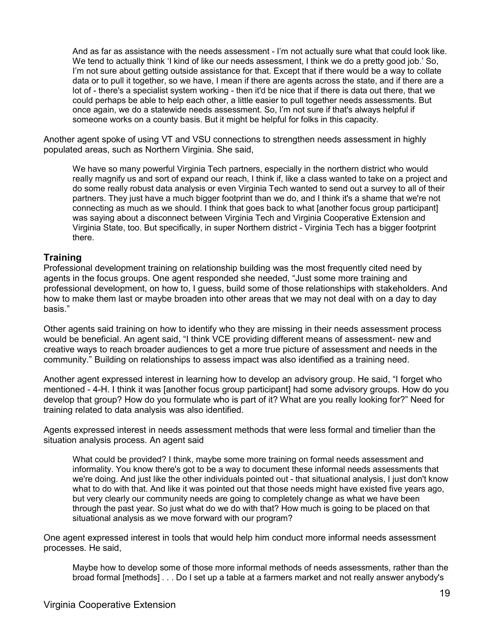And as far as assistance with the needs assessment - I'm not actually sure what that could look like. We tend to actually think 'I kind of like our needs assessment, I think we do a pretty good job.' So, I'm not sure about getting outside assistance for that. Except that if there would be a way to collate data or to pull it together, so we have, I mean if there are agents across the state, and if there are a lot of - there's a specialist system working - then it'd be nice that if there is data out there, that we could perhaps be able to help each other, a little easier to pull together needs assessments. But once again, we do a statewide needs assessment. So, I'm not sure if that's always helpful if someone works on a county basis. But it might be helpful for folks in this capacity.

Another agent spoke of using VT and VSU connections to strengthen needs assessment in highly populated areas, such as Northern Virginia. She said,

We have so many powerful Virginia Tech partners, especially in the northern district who would really magnify us and sort of expand our reach, I think if, like a class wanted to take on a project and do some really robust data analysis or even Virginia Tech wanted to send out a survey to all of their partners. They just have a much bigger footprint than we do, and I think it's a shame that we're not connecting as much as we should. I think that goes back to what [another focus group participant] was saying about a disconnect between Virginia Tech and Virginia Cooperative Extension and Virginia State, too. But specifically, in super Northern district - Virginia Tech has a bigger footprint there.

### **Training**

Professional development training on relationship building was the most frequently cited need by agents in the focus groups. One agent responded she needed, "Just some more training and professional development, on how to, I guess, build some of those relationships with stakeholders. And how to make them last or maybe broaden into other areas that we may not deal with on a day to day basis."

Other agents said training on how to identify who they are missing in their needs assessment process would be beneficial. An agent said, "I think VCE providing different means of assessment- new and creative ways to reach broader audiences to get a more true picture of assessment and needs in the community." Building on relationships to assess impact was also identified as a training need.

Another agent expressed interest in learning how to develop an advisory group. He said, "I forget who mentioned - 4-H. I think it was [another focus group participant] had some advisory groups. How do you develop that group? How do you formulate who is part of it? What are you really looking for?" Need for training related to data analysis was also identified.

Agents expressed interest in needs assessment methods that were less formal and timelier than the situation analysis process. An agent said

What could be provided? I think, maybe some more training on formal needs assessment and informality. You know there's got to be a way to document these informal needs assessments that we're doing. And just like the other individuals pointed out - that situational analysis, I just don't know what to do with that. And like it was pointed out that those needs might have existed five years ago, but very clearly our community needs are going to completely change as what we have been through the past year. So just what do we do with that? How much is going to be placed on that situational analysis as we move forward with our program?

One agent expressed interest in tools that would help him conduct more informal needs assessment processes. He said,

Maybe how to develop some of those more informal methods of needs assessments, rather than the broad formal [methods] . . . Do I set up a table at a farmers market and not really answer anybody's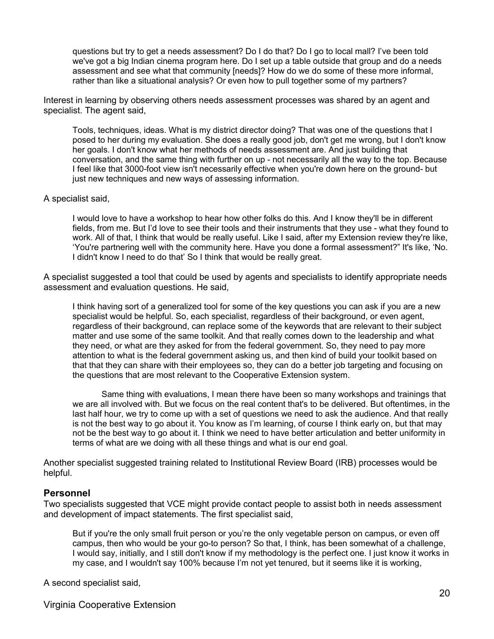questions but try to get a needs assessment? Do I do that? Do I go to local mall? I've been told we've got a big Indian cinema program here. Do I set up a table outside that group and do a needs assessment and see what that community [needs]? How do we do some of these more informal, rather than like a situational analysis? Or even how to pull together some of my partners?

Interest in learning by observing others needs assessment processes was shared by an agent and specialist. The agent said,

Tools, techniques, ideas. What is my district director doing? That was one of the questions that I posed to her during my evaluation. She does a really good job, don't get me wrong, but I don't know her goals. I don't know what her methods of needs assessment are. And just building that conversation, and the same thing with further on up - not necessarily all the way to the top. Because I feel like that 3000-foot view isn't necessarily effective when you're down here on the ground- but just new techniques and new ways of assessing information.

#### A specialist said,

I would love to have a workshop to hear how other folks do this. And I know they'll be in different fields, from me. But I'd love to see their tools and their instruments that they use - what they found to work. All of that, I think that would be really useful. Like I said, after my Extension review they're like, 'You're partnering well with the community here. Have you done a formal assessment?" It's like, 'No. I didn't know I need to do that' So I think that would be really great.

A specialist suggested a tool that could be used by agents and specialists to identify appropriate needs assessment and evaluation questions. He said,

I think having sort of a generalized tool for some of the key questions you can ask if you are a new specialist would be helpful. So, each specialist, regardless of their background, or even agent, regardless of their background, can replace some of the keywords that are relevant to their subject matter and use some of the same toolkit. And that really comes down to the leadership and what they need, or what are they asked for from the federal government. So, they need to pay more attention to what is the federal government asking us, and then kind of build your toolkit based on that that they can share with their employees so, they can do a better job targeting and focusing on the questions that are most relevant to the Cooperative Extension system.

Same thing with evaluations, I mean there have been so many workshops and trainings that we are all involved with. But we focus on the real content that's to be delivered. But oftentimes, in the last half hour, we try to come up with a set of questions we need to ask the audience. And that really is not the best way to go about it. You know as I'm learning, of course I think early on, but that may not be the best way to go about it. I think we need to have better articulation and better uniformity in terms of what are we doing with all these things and what is our end goal.

Another specialist suggested training related to Institutional Review Board (IRB) processes would be helpful.

#### **Personnel**

Two specialists suggested that VCE might provide contact people to assist both in needs assessment and development of impact statements. The first specialist said,

But if you're the only small fruit person or you're the only vegetable person on campus, or even off campus, then who would be your go-to person? So that, I think, has been somewhat of a challenge, I would say, initially, and I still don't know if my methodology is the perfect one. I just know it works in my case, and I wouldn't say 100% because I'm not yet tenured, but it seems like it is working,

A second specialist said,

Virginia Cooperative Extension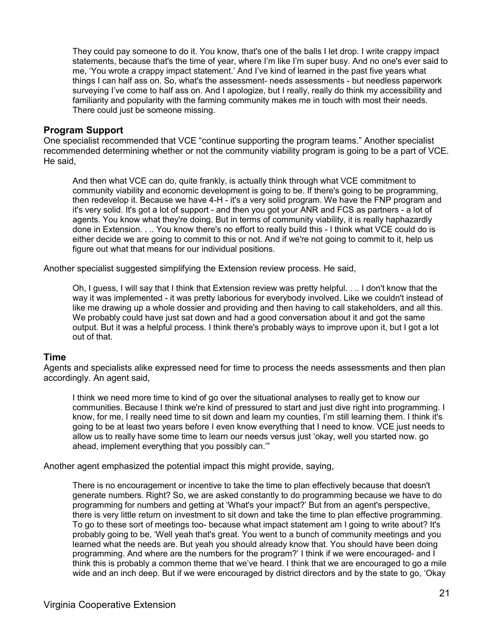They could pay someone to do it. You know, that's one of the balls I let drop. I write crappy impact statements, because that's the time of year, where I'm like I'm super busy. And no one's ever said to me, 'You wrote a crappy impact statement.' And I've kind of learned in the past five years what things I can half ass on. So, what's the assessment- needs assessments - but needless paperwork surveying I've come to half ass on. And I apologize, but I really, really do think my accessibility and familiarity and popularity with the farming community makes me in touch with most their needs. There could just be someone missing.

### **Program Support**

One specialist recommended that VCE "continue supporting the program teams." Another specialist recommended determining whether or not the community viability program is going to be a part of VCE. He said,

And then what VCE can do, quite frankly, is actually think through what VCE commitment to community viability and economic development is going to be. If there's going to be programming, then redevelop it. Because we have 4-H - it's a very solid program. We have the FNP program and it's very solid. It's got a lot of support - and then you got your ANR and FCS as partners - a lot of agents. You know what they're doing. But in terms of community viability, it is really haphazardly done in Extension. . .. You know there's no effort to really build this - I think what VCE could do is either decide we are going to commit to this or not. And if we're not going to commit to it, help us figure out what that means for our individual positions.

Another specialist suggested simplifying the Extension review process. He said,

Oh, I guess, I will say that I think that Extension review was pretty helpful. . .. I don't know that the way it was implemented - it was pretty laborious for everybody involved. Like we couldn't instead of like me drawing up a whole dossier and providing and then having to call stakeholders, and all this. We probably could have just sat down and had a good conversation about it and got the same output. But it was a helpful process. I think there's probably ways to improve upon it, but I got a lot out of that.

### **Time**

Agents and specialists alike expressed need for time to process the needs assessments and then plan accordingly. An agent said,

I think we need more time to kind of go over the situational analyses to really get to know our communities. Because I think we're kind of pressured to start and just dive right into programming. I know, for me, I really need time to sit down and learn my counties, I'm still learning them. I think it's going to be at least two years before I even know everything that I need to know. VCE just needs to allow us to really have some time to learn our needs versus just 'okay, well you started now. go ahead, implement everything that you possibly can.'"

Another agent emphasized the potential impact this might provide, saying,

There is no encouragement or incentive to take the time to plan effectively because that doesn't generate numbers. Right? So, we are asked constantly to do programming because we have to do programming for numbers and getting at 'What's your impact?' But from an agent's perspective, there is very little return on investment to sit down and take the time to plan effective programming. To go to these sort of meetings too- because what impact statement am I going to write about? It's probably going to be, 'Well yeah that's great. You went to a bunch of community meetings and you learned what the needs are. But yeah you should already know that. You should have been doing programming. And where are the numbers for the program?' I think if we were encouraged- and I think this is probably a common theme that we've heard. I think that we are encouraged to go a mile wide and an inch deep. But if we were encouraged by district directors and by the state to go, 'Okay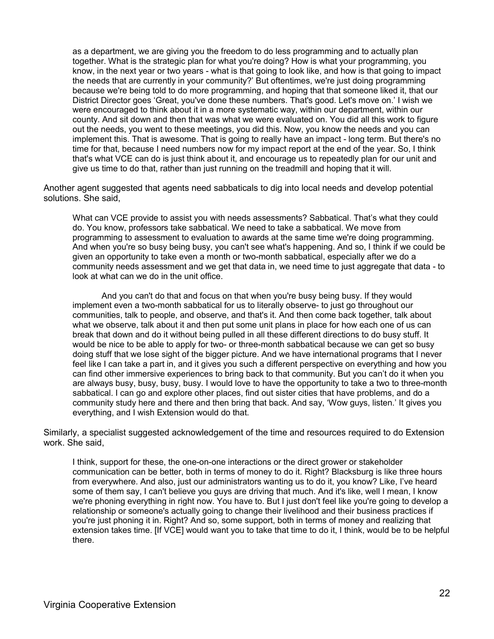as a department, we are giving you the freedom to do less programming and to actually plan together. What is the strategic plan for what you're doing? How is what your programming, you know, in the next year or two years - what is that going to look like, and how is that going to impact the needs that are currently in your community?' But oftentimes, we're just doing programming because we're being told to do more programming, and hoping that that someone liked it, that our District Director goes 'Great, you've done these numbers. That's good. Let's move on.' I wish we were encouraged to think about it in a more systematic way, within our department, within our county. And sit down and then that was what we were evaluated on. You did all this work to figure out the needs, you went to these meetings, you did this. Now, you know the needs and you can implement this. That is awesome. That is going to really have an impact - long term. But there's no time for that, because I need numbers now for my impact report at the end of the year. So, I think that's what VCE can do is just think about it, and encourage us to repeatedly plan for our unit and give us time to do that, rather than just running on the treadmill and hoping that it will.

Another agent suggested that agents need sabbaticals to dig into local needs and develop potential solutions. She said,

What can VCE provide to assist you with needs assessments? Sabbatical. That's what they could do. You know, professors take sabbatical. We need to take a sabbatical. We move from programming to assessment to evaluation to awards at the same time we're doing programming. And when you're so busy being busy, you can't see what's happening. And so, I think if we could be given an opportunity to take even a month or two-month sabbatical, especially after we do a community needs assessment and we get that data in, we need time to just aggregate that data - to look at what can we do in the unit office.

And you can't do that and focus on that when you're busy being busy. If they would implement even a two-month sabbatical for us to literally observe- to just go throughout our communities, talk to people, and observe, and that's it. And then come back together, talk about what we observe, talk about it and then put some unit plans in place for how each one of us can break that down and do it without being pulled in all these different directions to do busy stuff. It would be nice to be able to apply for two- or three-month sabbatical because we can get so busy doing stuff that we lose sight of the bigger picture. And we have international programs that I never feel like I can take a part in, and it gives you such a different perspective on everything and how you can find other immersive experiences to bring back to that community. But you can't do it when you are always busy, busy, busy, busy. I would love to have the opportunity to take a two to three-month sabbatical. I can go and explore other places, find out sister cities that have problems, and do a community study here and there and then bring that back. And say, 'Wow guys, listen.' It gives you everything, and I wish Extension would do that.

Similarly, a specialist suggested acknowledgement of the time and resources required to do Extension work. She said,

I think, support for these, the one-on-one interactions or the direct grower or stakeholder communication can be better, both in terms of money to do it. Right? Blacksburg is like three hours from everywhere. And also, just our administrators wanting us to do it, you know? Like, I've heard some of them say, I can't believe you guys are driving that much. And it's like, well I mean, I know we're phoning everything in right now. You have to. But I just don't feel like you're going to develop a relationship or someone's actually going to change their livelihood and their business practices if you're just phoning it in. Right? And so, some support, both in terms of money and realizing that extension takes time. [If VCE] would want you to take that time to do it, I think, would be to be helpful there.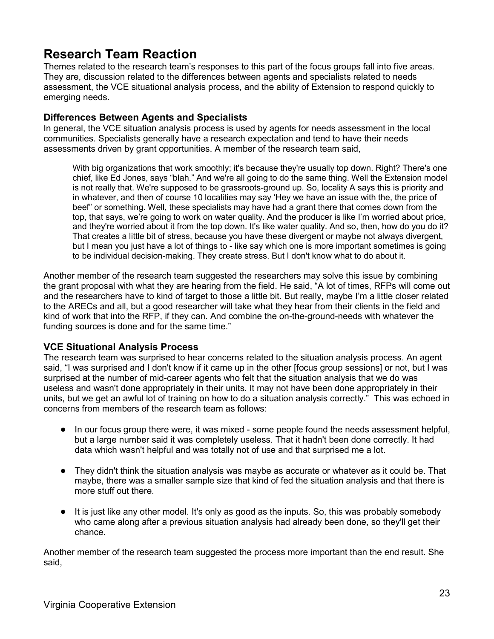### **Research Team Reaction**

Themes related to the research team's responses to this part of the focus groups fall into five areas. They are, discussion related to the differences between agents and specialists related to needs assessment, the VCE situational analysis process, and the ability of Extension to respond quickly to emerging needs.

### **Differences Between Agents and Specialists**

In general, the VCE situation analysis process is used by agents for needs assessment in the local communities. Specialists generally have a research expectation and tend to have their needs assessments driven by grant opportunities. A member of the research team said,

With big organizations that work smoothly; it's because they're usually top down. Right? There's one chief, like Ed Jones, says "blah." And we're all going to do the same thing. Well the Extension model is not really that. We're supposed to be grassroots-ground up. So, locality A says this is priority and in whatever, and then of course 10 localities may say 'Hey we have an issue with the, the price of beef" or something. Well, these specialists may have had a grant there that comes down from the top, that says, we're going to work on water quality. And the producer is like I'm worried about price, and they're worried about it from the top down. It's like water quality. And so, then, how do you do it? That creates a little bit of stress, because you have these divergent or maybe not always divergent, but I mean you just have a lot of things to - like say which one is more important sometimes is going to be individual decision-making. They create stress. But I don't know what to do about it.

Another member of the research team suggested the researchers may solve this issue by combining the grant proposal with what they are hearing from the field. He said, "A lot of times, RFPs will come out and the researchers have to kind of target to those a little bit. But really, maybe I'm a little closer related to the ARECs and all, but a good researcher will take what they hear from their clients in the field and kind of work that into the RFP, if they can. And combine the on-the-ground-needs with whatever the funding sources is done and for the same time."

### **VCE Situational Analysis Process**

The research team was surprised to hear concerns related to the situation analysis process. An agent said, "I was surprised and I don't know if it came up in the other [focus group sessions] or not, but I was surprised at the number of mid-career agents who felt that the situation analysis that we do was useless and wasn't done appropriately in their units. It may not have been done appropriately in their units, but we get an awful lot of training on how to do a situation analysis correctly." This was echoed in concerns from members of the research team as follows:

- In our focus group there were, it was mixed some people found the needs assessment helpful, but a large number said it was completely useless. That it hadn't been done correctly. It had data which wasn't helpful and was totally not of use and that surprised me a lot.
- They didn't think the situation analysis was maybe as accurate or whatever as it could be. That maybe, there was a smaller sample size that kind of fed the situation analysis and that there is more stuff out there.
- It is just like any other model. It's only as good as the inputs. So, this was probably somebody who came along after a previous situation analysis had already been done, so they'll get their chance.

Another member of the research team suggested the process more important than the end result. She said,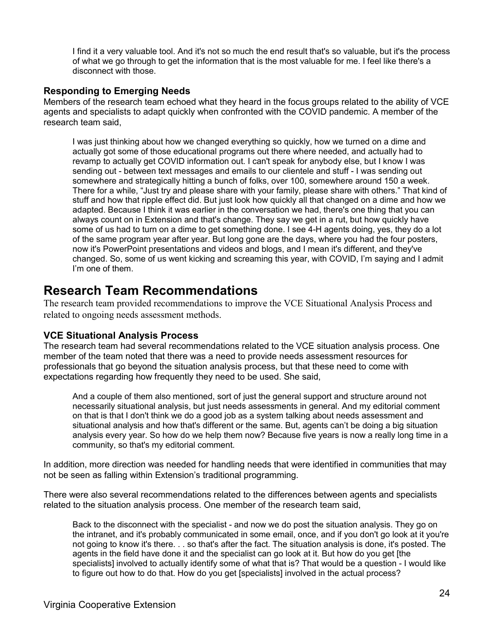I find it a very valuable tool. And it's not so much the end result that's so valuable, but it's the process of what we go through to get the information that is the most valuable for me. I feel like there's a disconnect with those.

### **Responding to Emerging Needs**

Members of the research team echoed what they heard in the focus groups related to the ability of VCE agents and specialists to adapt quickly when confronted with the COVID pandemic. A member of the research team said,

I was just thinking about how we changed everything so quickly, how we turned on a dime and actually got some of those educational programs out there where needed, and actually had to revamp to actually get COVID information out. I can't speak for anybody else, but I know I was sending out - between text messages and emails to our clientele and stuff - I was sending out somewhere and strategically hitting a bunch of folks, over 100, somewhere around 150 a week. There for a while, "Just try and please share with your family, please share with others." That kind of stuff and how that ripple effect did. But just look how quickly all that changed on a dime and how we adapted. Because I think it was earlier in the conversation we had, there's one thing that you can always count on in Extension and that's change. They say we get in a rut, but how quickly have some of us had to turn on a dime to get something done. I see 4-H agents doing, yes, they do a lot of the same program year after year. But long gone are the days, where you had the four posters, now it's PowerPoint presentations and videos and blogs, and I mean it's different, and they've changed. So, some of us went kicking and screaming this year, with COVID, I'm saying and I admit I'm one of them.

### **Research Team Recommendations**

The research team provided recommendations to improve the VCE Situational Analysis Process and related to ongoing needs assessment methods.

### **VCE Situational Analysis Process**

The research team had several recommendations related to the VCE situation analysis process. One member of the team noted that there was a need to provide needs assessment resources for professionals that go beyond the situation analysis process, but that these need to come with expectations regarding how frequently they need to be used. She said,

And a couple of them also mentioned, sort of just the general support and structure around not necessarily situational analysis, but just needs assessments in general. And my editorial comment on that is that I don't think we do a good job as a system talking about needs assessment and situational analysis and how that's different or the same. But, agents can't be doing a big situation analysis every year. So how do we help them now? Because five years is now a really long time in a community, so that's my editorial comment.

In addition, more direction was needed for handling needs that were identified in communities that may not be seen as falling within Extension's traditional programming.

There were also several recommendations related to the differences between agents and specialists related to the situation analysis process. One member of the research team said,

Back to the disconnect with the specialist - and now we do post the situation analysis. They go on the intranet, and it's probably communicated in some email, once, and if you don't go look at it you're not going to know it's there. . . so that's after the fact. The situation analysis is done, it's posted. The agents in the field have done it and the specialist can go look at it. But how do you get [the specialists] involved to actually identify some of what that is? That would be a question - I would like to figure out how to do that. How do you get [specialists] involved in the actual process?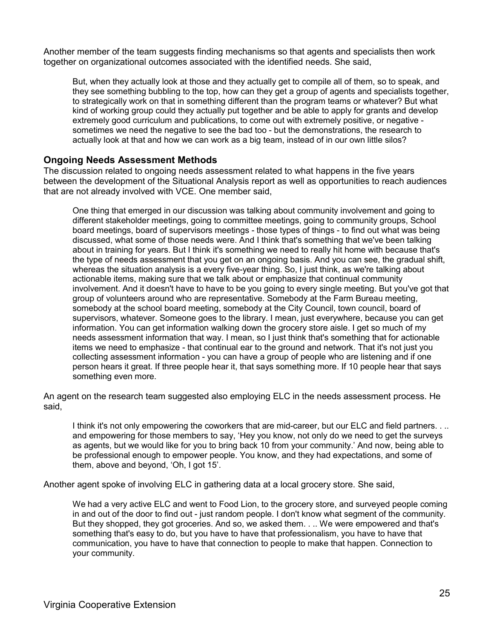Another member of the team suggests finding mechanisms so that agents and specialists then work together on organizational outcomes associated with the identified needs. She said,

But, when they actually look at those and they actually get to compile all of them, so to speak, and they see something bubbling to the top, how can they get a group of agents and specialists together, to strategically work on that in something different than the program teams or whatever? But what kind of working group could they actually put together and be able to apply for grants and develop extremely good curriculum and publications, to come out with extremely positive, or negative sometimes we need the negative to see the bad too - but the demonstrations, the research to actually look at that and how we can work as a big team, instead of in our own little silos?

### **Ongoing Needs Assessment Methods**

The discussion related to ongoing needs assessment related to what happens in the five years between the development of the Situational Analysis report as well as opportunities to reach audiences that are not already involved with VCE. One member said,

One thing that emerged in our discussion was talking about community involvement and going to different stakeholder meetings, going to committee meetings, going to community groups, School board meetings, board of supervisors meetings - those types of things - to find out what was being discussed, what some of those needs were. And I think that's something that we've been talking about in training for years. But I think it's something we need to really hit home with because that's the type of needs assessment that you get on an ongoing basis. And you can see, the gradual shift, whereas the situation analysis is a every five-year thing. So, I just think, as we're talking about actionable items, making sure that we talk about or emphasize that continual community involvement. And it doesn't have to have to be you going to every single meeting. But you've got that group of volunteers around who are representative. Somebody at the Farm Bureau meeting, somebody at the school board meeting, somebody at the City Council, town council, board of supervisors, whatever. Someone goes to the library. I mean, just everywhere, because you can get information. You can get information walking down the grocery store aisle. I get so much of my needs assessment information that way. I mean, so I just think that's something that for actionable items we need to emphasize - that continual ear to the ground and network. That it's not just you collecting assessment information - you can have a group of people who are listening and if one person hears it great. If three people hear it, that says something more. If 10 people hear that says something even more.

An agent on the research team suggested also employing ELC in the needs assessment process. He said,

I think it's not only empowering the coworkers that are mid-career, but our ELC and field partners. . .. and empowering for those members to say, 'Hey you know, not only do we need to get the surveys as agents, but we would like for you to bring back 10 from your community.' And now, being able to be professional enough to empower people. You know, and they had expectations, and some of them, above and beyond, 'Oh, I got 15'.

Another agent spoke of involving ELC in gathering data at a local grocery store. She said,

We had a very active ELC and went to Food Lion, to the grocery store, and surveyed people coming in and out of the door to find out - just random people. I don't know what segment of the community. But they shopped, they got groceries. And so, we asked them. . .. We were empowered and that's something that's easy to do, but you have to have that professionalism, you have to have that communication, you have to have that connection to people to make that happen. Connection to your community.